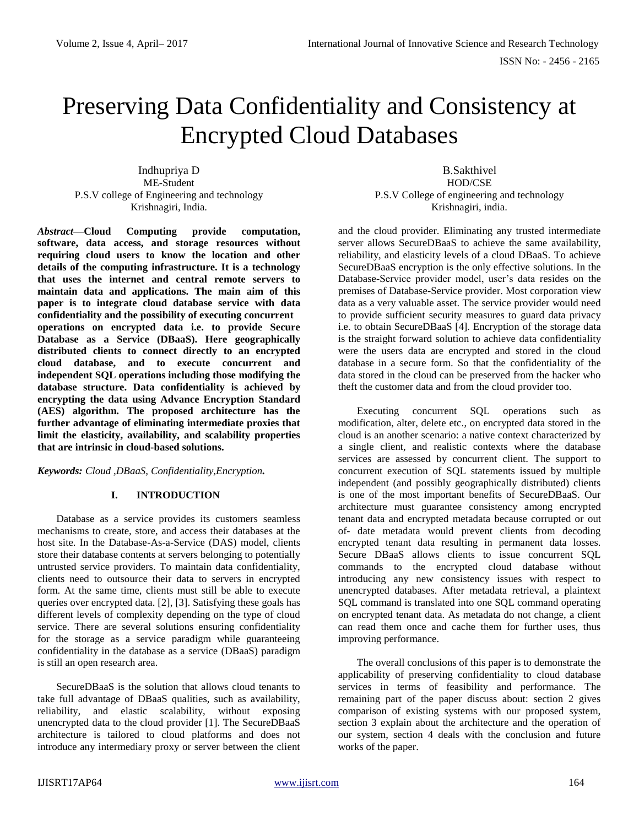# Preserving Data Confidentiality and Consistency at Encrypted Cloud Databases

Indhupriya D ME-Student P.S.V college of Engineering and technology Krishnagiri, India.

*Abstract***—Cloud Computing provide computation, software, data access, and storage resources without requiring cloud users to know the location and other details of the computing infrastructure. It is a technology that uses the internet and central remote servers to maintain data and applications. The main aim of this paper is to integrate cloud database service with data confidentiality and the possibility of executing concurrent operations on encrypted data i.e. to provide Secure Database as a Service (DBaaS). Here geographically distributed clients to connect directly to an encrypted cloud database, and to execute concurrent and independent SQL operations including those modifying the database structure. Data confidentiality is achieved by encrypting the data using Advance Encryption Standard (AES) algorithm. The proposed architecture has the further advantage of eliminating intermediate proxies that limit the elasticity, availability, and scalability properties that are intrinsic in cloud-based solutions.**

*Keywords: Cloud ,DBaaS, Confidentiality,Encryption.*

## **I. INTRODUCTION**

Database as a service provides its customers seamless mechanisms to create, store, and access their databases at the host site. In the Database-As-a-Service (DAS) model, clients store their database contents at servers belonging to potentially untrusted service providers. To maintain data confidentiality, clients need to outsource their data to servers in encrypted form. At the same time, clients must still be able to execute queries over encrypted data. [2], [3]. Satisfying these goals has different levels of complexity depending on the type of cloud service. There are several solutions ensuring confidentiality for the storage as a service paradigm while guaranteeing confidentiality in the database as a service (DBaaS) paradigm is still an open research area.

SecureDBaaS is the solution that allows cloud tenants to take full advantage of DBaaS qualities, such as availability, reliability, and elastic scalability, without exposing unencrypted data to the cloud provider [1]. The SecureDBaaS architecture is tailored to cloud platforms and does not introduce any intermediary proxy or server between the client

B.Sakthivel HOD/CSE P.S.V College of engineering and technology Krishnagiri, india.

and the cloud provider. Eliminating any trusted intermediate server allows SecureDBaaS to achieve the same availability, reliability, and elasticity levels of a cloud DBaaS. To achieve SecureDBaaS encryption is the only effective solutions. In the Database-Service provider model, user's data resides on the premises of Database-Service provider. Most corporation view data as a very valuable asset. The service provider would need to provide sufficient security measures to guard data privacy i.e. to obtain SecureDBaaS [4]. Encryption of the storage data is the straight forward solution to achieve data confidentiality were the users data are encrypted and stored in the cloud database in a secure form. So that the confidentiality of the data stored in the cloud can be preserved from the hacker who theft the customer data and from the cloud provider too.

Executing concurrent SQL operations such as modification, alter, delete etc., on encrypted data stored in the cloud is an another scenario: a native context characterized by a single client, and realistic contexts where the database services are assessed by concurrent client. The support to concurrent execution of SQL statements issued by multiple independent (and possibly geographically distributed) clients is one of the most important benefits of SecureDBaaS. Our architecture must guarantee consistency among encrypted tenant data and encrypted metadata because corrupted or out of- date metadata would prevent clients from decoding encrypted tenant data resulting in permanent data losses. Secure DBaaS allows clients to issue concurrent SQL commands to the encrypted cloud database without introducing any new consistency issues with respect to unencrypted databases. After metadata retrieval, a plaintext SQL command is translated into one SQL command operating on encrypted tenant data. As metadata do not change, a client can read them once and cache them for further uses, thus improving performance.

The overall conclusions of this paper is to demonstrate the applicability of preserving confidentiality to cloud database services in terms of feasibility and performance. The remaining part of the paper discuss about: section 2 gives comparison of existing systems with our proposed system, section 3 explain about the architecture and the operation of our system, section 4 deals with the conclusion and future works of the paper.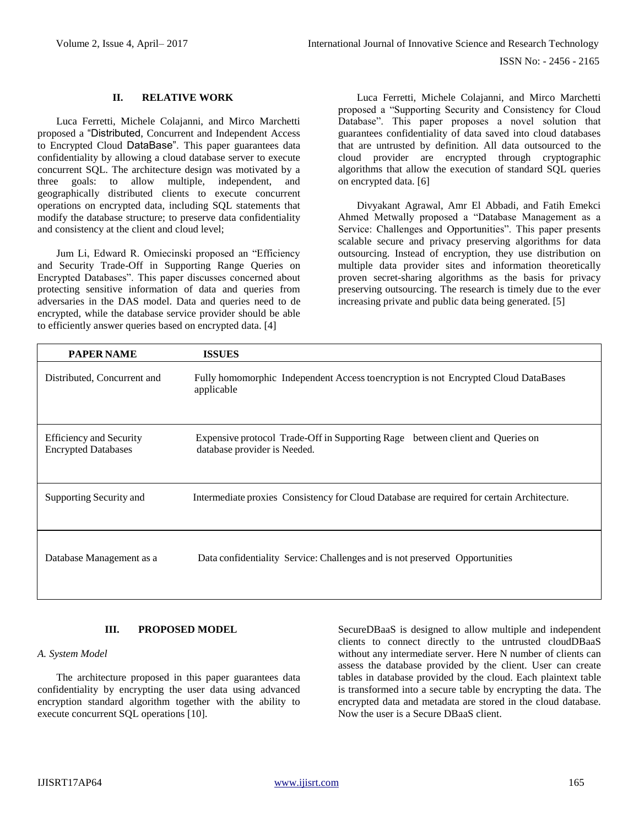#### **II. RELATIVE WORK**

Luca Ferretti, Michele Colajanni, and Mirco Marchetti proposed a "Distributed, Concurrent and Independent Access to Encrypted Cloud DataBase". This paper guarantees data confidentiality by allowing a cloud database server to execute concurrent SQL. The architecture design was motivated by a three goals: to allow multiple, independent, and geographically distributed clients to execute concurrent operations on encrypted data, including SQL statements that modify the database structure; to preserve data confidentiality and consistency at the client and cloud level;

Jum Li, Edward R. Omiecinski proposed an "Efficiency and Security Trade-Off in Supporting Range Queries on Encrypted Databases". This paper discusses concerned about protecting sensitive information of data and queries from adversaries in the DAS model. Data and queries need to de encrypted, while the database service provider should be able to efficiently answer queries based on encrypted data. [4]

Luca Ferretti, Michele Colajanni, and Mirco Marchetti proposed a "Supporting Security and Consistency for Cloud Database". This paper proposes a novel solution that guarantees confidentiality of data saved into cloud databases that are untrusted by definition. All data outsourced to the cloud provider are encrypted through cryptographic algorithms that allow the execution of standard SQL queries on encrypted data. [6]

Divyakant Agrawal, Amr El Abbadi, and Fatih Emekci Ahmed Metwally proposed a "Database Management as a Service: Challenges and Opportunities". This paper presents scalable secure and privacy preserving algorithms for data outsourcing. Instead of encryption, they use distribution on multiple data provider sites and information theoretically proven secret-sharing algorithms as the basis for privacy preserving outsourcing. The research is timely due to the ever increasing private and public data being generated. [5]

| <b>PAPER NAME</b>                                            | <b>ISSUES</b>                                                                                                    |
|--------------------------------------------------------------|------------------------------------------------------------------------------------------------------------------|
| Distributed, Concurrent and                                  | Fully homomorphic Independent Access to encryption is not Encrypted Cloud DataBases<br>applicable                |
| <b>Efficiency and Security</b><br><b>Encrypted Databases</b> | Expensive protocol Trade-Off in Supporting Rage<br>between client and Queries on<br>database provider is Needed. |
| Supporting Security and                                      | Intermediate proxies Consistency for Cloud Database are required for certain Architecture.                       |
| Database Management as a                                     | Data confidentiality Service: Challenges and is not preserved Opportunities                                      |

## **III. PROPOSED MODEL**

#### *A. System Model*

The architecture proposed in this paper guarantees data confidentiality by encrypting the user data using advanced encryption standard algorithm together with the ability to execute concurrent SQL operations [10].

SecureDBaaS is designed to allow multiple and independent clients to connect directly to the untrusted cloudDBaaS without any intermediate server. Here N number of clients can assess the database provided by the client. User can create tables in database provided by the cloud. Each plaintext table is transformed into a secure table by encrypting the data. The encrypted data and metadata are stored in the cloud database. Now the user is a Secure DBaaS client.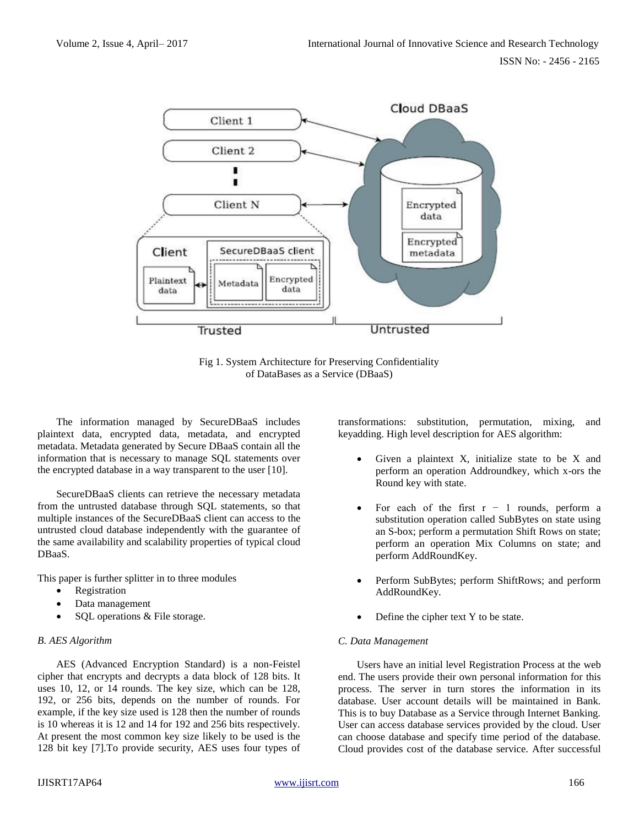

Fig 1. System Architecture for Preserving Confidentiality of DataBases as a Service (DBaaS)

The information managed by SecureDBaaS includes plaintext data, encrypted data, metadata, and encrypted metadata. Metadata generated by Secure DBaaS contain all the information that is necessary to manage SQL statements over the encrypted database in a way transparent to the user [10].

SecureDBaaS clients can retrieve the necessary metadata from the untrusted database through SQL statements, so that multiple instances of the SecureDBaaS client can access to the untrusted cloud database independently with the guarantee of the same availability and scalability properties of typical cloud DBaaS.

This paper is further splitter in to three modules

- Registration
- Data management
- SQL operations & File storage.

## *B. AES Algorithm*

AES (Advanced Encryption Standard) is a non-Feistel cipher that encrypts and decrypts a data block of 128 bits. It uses 10, 12, or 14 rounds. The key size, which can be 128, 192, or 256 bits, depends on the number of rounds. For example, if the key size used is 128 then the number of rounds is 10 whereas it is 12 and 14 for 192 and 256 bits respectively. At present the most common key size likely to be used is the 128 bit key [7].To provide security, AES uses four types of transformations: substitution, permutation, mixing, and keyadding. High level description for AES algorithm:

- Given a plaintext X, initialize state to be X and perform an operation Addroundkey, which x-ors the Round key with state.
- For each of the first  $r 1$  rounds, perform a substitution operation called SubBytes on state using an S-box; perform a permutation Shift Rows on state; perform an operation Mix Columns on state; and perform AddRoundKey.
- Perform SubBytes; perform ShiftRows; and perform AddRoundKey.
- Define the cipher text Y to be state.

## *C. Data Management*

Users have an initial level Registration Process at the web end. The users provide their own personal information for this process. The server in turn stores the information in its database. User account details will be maintained in Bank. This is to buy Database as a Service through Internet Banking. User can access database services provided by the cloud. User can choose database and specify time period of the database. Cloud provides cost of the database service. After successful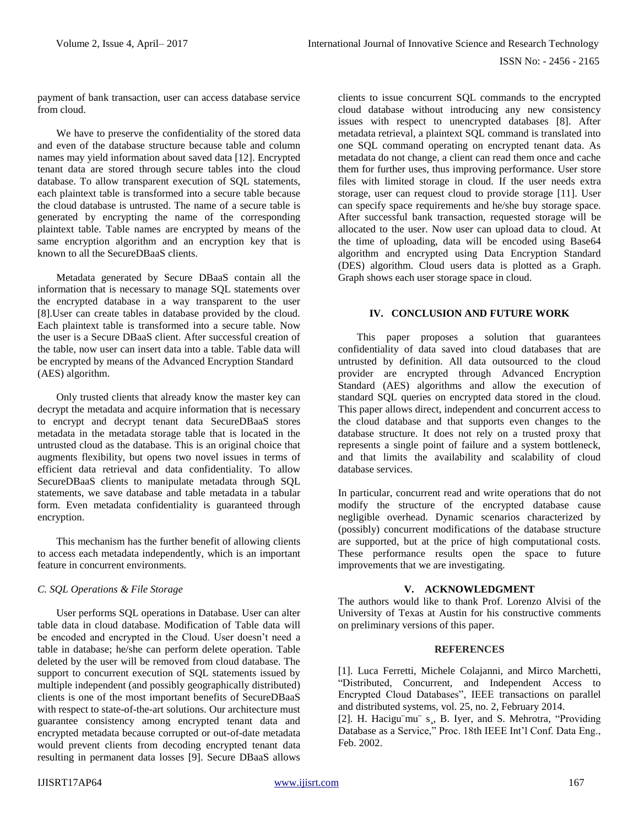payment of bank transaction, user can access database service from cloud.

We have to preserve the confidentiality of the stored data and even of the database structure because table and column names may yield information about saved data [12]. Encrypted tenant data are stored through secure tables into the cloud database. To allow transparent execution of SQL statements, each plaintext table is transformed into a secure table because the cloud database is untrusted. The name of a secure table is generated by encrypting the name of the corresponding plaintext table. Table names are encrypted by means of the same encryption algorithm and an encryption key that is known to all the SecureDBaaS clients.

Metadata generated by Secure DBaaS contain all the information that is necessary to manage SQL statements over the encrypted database in a way transparent to the user [8].User can create tables in database provided by the cloud. Each plaintext table is transformed into a secure table. Now the user is a Secure DBaaS client. After successful creation of the table, now user can insert data into a table. Table data will be encrypted by means of the Advanced Encryption Standard (AES) algorithm.

Only trusted clients that already know the master key can decrypt the metadata and acquire information that is necessary to encrypt and decrypt tenant data SecureDBaaS stores metadata in the metadata storage table that is located in the untrusted cloud as the database. This is an original choice that augments flexibility, but opens two novel issues in terms of efficient data retrieval and data confidentiality. To allow SecureDBaaS clients to manipulate metadata through SQL statements, we save database and table metadata in a tabular form. Even metadata confidentiality is guaranteed through encryption.

This mechanism has the further benefit of allowing clients to access each metadata independently, which is an important feature in concurrent environments.

## *C. SQL Operations & File Storage*

User performs SQL operations in Database. User can alter table data in cloud database. Modification of Table data will be encoded and encrypted in the Cloud. User doesn't need a table in database; he/she can perform delete operation. Table deleted by the user will be removed from cloud database. The support to concurrent execution of SQL statements issued by multiple independent (and possibly geographically distributed) clients is one of the most important benefits of SecureDBaaS with respect to state-of-the-art solutions. Our architecture must guarantee consistency among encrypted tenant data and encrypted metadata because corrupted or out-of-date metadata would prevent clients from decoding encrypted tenant data resulting in permanent data losses [9]. Secure DBaaS allows

clients to issue concurrent SQL commands to the encrypted cloud database without introducing any new consistency issues with respect to unencrypted databases [8]. After metadata retrieval, a plaintext SQL command is translated into one SQL command operating on encrypted tenant data. As metadata do not change, a client can read them once and cache them for further uses, thus improving performance. User store files with limited storage in cloud. If the user needs extra storage, user can request cloud to provide storage [11]. User can specify space requirements and he/she buy storage space. After successful bank transaction, requested storage will be allocated to the user. Now user can upload data to cloud. At the time of uploading, data will be encoded using Base64 algorithm and encrypted using Data Encryption Standard (DES) algorithm. Cloud users data is plotted as a Graph. Graph shows each user storage space in cloud.

# **IV. CONCLUSION AND FUTURE WORK**

This paper proposes a solution that guarantees confidentiality of data saved into cloud databases that are untrusted by definition. All data outsourced to the cloud provider are encrypted through Advanced Encryption Standard (AES) algorithms and allow the execution of standard SQL queries on encrypted data stored in the cloud. This paper allows direct, independent and concurrent access to the cloud database and that supports even changes to the database structure. It does not rely on a trusted proxy that represents a single point of failure and a system bottleneck, and that limits the availability and scalability of cloud database services.

In particular, concurrent read and write operations that do not modify the structure of the encrypted database cause negligible overhead. Dynamic scenarios characterized by (possibly) concurrent modifications of the database structure are supported, but at the price of high computational costs. These performance results open the space to future improvements that we are investigating.

## **V. ACKNOWLEDGMENT**

The authors would like to thank Prof. Lorenzo Alvisi of the University of Texas at Austin for his constructive comments on preliminary versions of this paper.

#### **REFERENCES**

[1]. Luca Ferretti, Michele Colajanni, and Mirco Marchetti, "Distributed, Concurrent, and Independent Access to Encrypted Cloud Databases", IEEE transactions on parallel and distributed systems, vol. 25, no. 2, February 2014.

[2]. H. Hacigu mu s , B. Iyer, and S. Mehrotra, "Providing Database as a Service," Proc. 18th IEEE Int'l Conf. Data Eng., Feb. 2002.